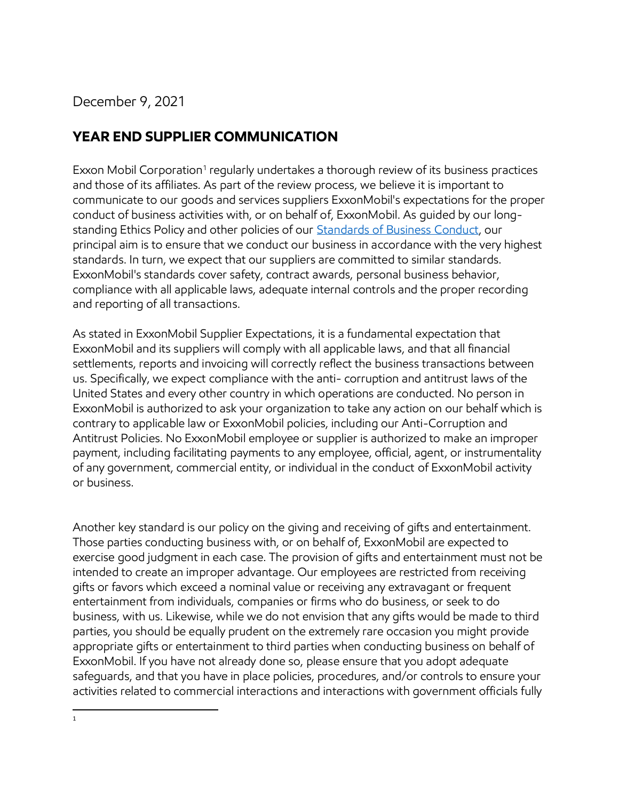December 9, 2021

## **YEAR END SUPPLIER COMMUNICATION**

Exxon Mobil Corporation<sup>1</sup> regularly undertakes a thorough review of its business practices and those of its affiliates. As part of the review process, we believe it is important to communicate to our goods and services suppliers ExxonMobil's expectations for the proper conduct of business activities with, or on behalf of, ExxonMobil. As guided by our longstanding Ethics Policy and other policies of our Standards [of Business Conduct,](https://corporate.exxonmobil.com/-/media/Global/Files/who-we-are/Standards-of-Business-Conduct_apr.pdf) our principal aim is to ensure that we conduct our business in accordance with the very highest standards. In turn, we expect that our suppliers are committed to similar standards. ExxonMobil's standards cover safety, contract awards, personal business behavior, compliance with all applicable laws, adequate internal controls and the proper recording and reporting of all transactions.

As stated in ExxonMobil Supplier Expectations, it is a fundamental expectation that ExxonMobil and its suppliers will comply with all applicable laws, and that all financial settlements, reports and invoicing will correctly reflect the business transactions between us. Specifically, we expect compliance with the anti- corruption and antitrust laws of the United States and every other country in which operations are conducted. No person in ExxonMobil is authorized to ask your organization to take any action on our behalf which is contrary to applicable law or ExxonMobil policies, including our Anti-Corruption and Antitrust Policies. No ExxonMobil employee or supplier is authorized to make an improper payment, including facilitating payments to any employee, official, agent, or instrumentality of any government, commercial entity, or individual in the conduct of ExxonMobil activity or business.

Another key standard is our policy on the giving and receiving of gifts and entertainment. Those parties conducting business with, or on behalf of, ExxonMobil are expected to exercise good judgment in each case. The provision of gifts and entertainment must not be intended to create an improper advantage. Our employees are restricted from receiving gifts or favors which exceed a nominal value or receiving any extravagant or frequent entertainment from individuals, companies or firms who do business, or seek to do business, with us. Likewise, while we do not envision that any gifts would be made to third parties, you should be equally prudent on the extremely rare occasion you might provide appropriate gifts or entertainment to third parties when conducting business on behalf of ExxonMobil. If you have not already done so, please ensure that you adopt adequate safeguards, and that you have in place policies, procedures, and/or controls to ensure your activities related to commercial interactions and interactions with government officials fully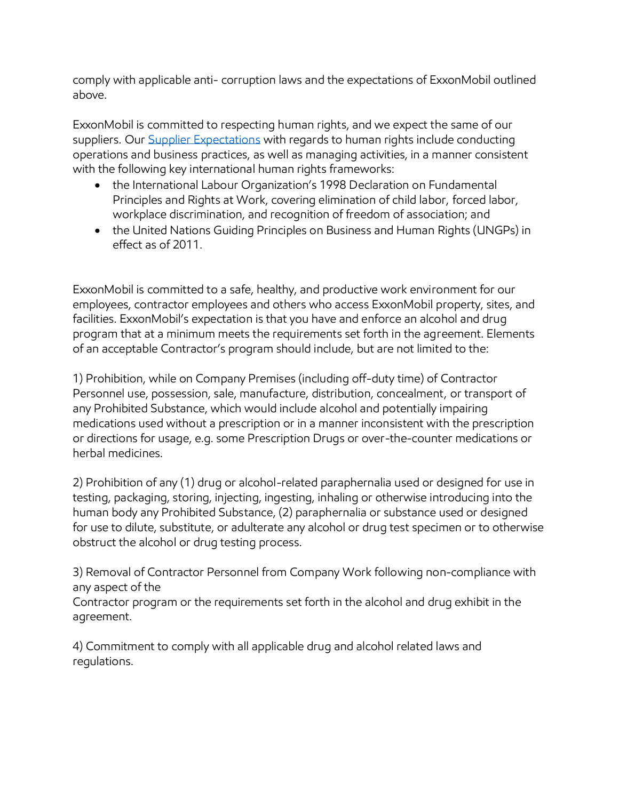comply with applicable anti- corruption laws and the expectations of ExxonMobil outlined above.

ExxonMobil is committed to respecting human rights, and we expect the same of our suppliers. Our [Supplier Expectations](https://corporate.exxonmobil.com/Sustainability/Sustainability-Report/Social/Supplier-vendor-and-contractor-expectations) with regards to human rights include conducting operations and business practices, as well as managing activities, in a manner consistent with the following key international human rights frameworks:

- the International Labour Organization's 1998 Declaration on Fundamental Principles and Rights at Work, covering elimination of child labor, forced labor, workplace discrimination, and recognition of freedom of association; and
- the United Nations Guiding Principles on Business and Human Rights (UNGPs) in effect as of 2011.

ExxonMobil is committed to a safe, healthy, and productive work environment for our employees, contractor employees and others who access ExxonMobil property, sites, and facilities. ExxonMobil's expectation is that you have and enforce an alcohol and drug program that at a minimum meets the requirements set forth in the agreement. Elements of an acceptable Contractor's program should include, but are not limited to the:

1) Prohibition, while on Company Premises (including off-duty time) of Contractor Personnel use, possession, sale, manufacture, distribution, concealment, or transport of any Prohibited Substance, which would include alcohol and potentially impairing medications used without a prescription or in a manner inconsistent with the prescription or directions for usage, e.g. some Prescription Drugs or over-the-counter medications or herbal medicines.

2) Prohibition of any (1) drug or alcohol-related paraphernalia used or designed for use in testing, packaging, storing, injecting, ingesting, inhaling or otherwise introducing into the human body any Prohibited Substance, (2) paraphernalia or substance used or designed for use to dilute, substitute, or adulterate any alcohol or drug test specimen or to otherwise obstruct the alcohol or drug testing process.

3) Removal of Contractor Personnel from Company Work following non-compliance with any aspect of the

Contractor program or the requirements set forth in the alcohol and drug exhibit in the agreement.

4) Commitment to comply with all applicable drug and alcohol related laws and regulations.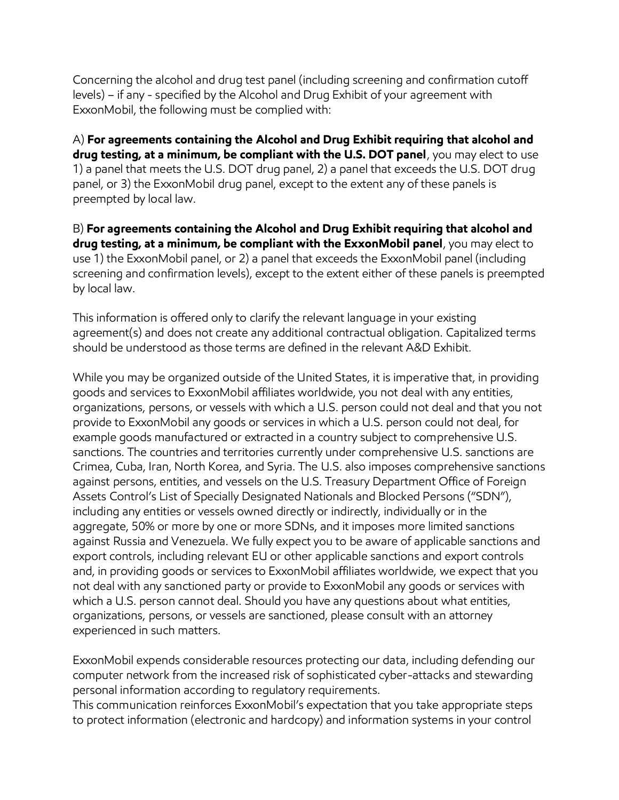Concerning the alcohol and drug test panel (including screening and confirmation cutoff levels) – if any - specified by the Alcohol and Drug Exhibit of your agreement with ExxonMobil, the following must be complied with:

A) **For agreements containing the Alcohol and Drug Exhibit requiring that alcohol and drug testing, at a minimum, be compliant with the U.S. DOT panel**, you may elect to use 1) a panel that meets the U.S. DOT drug panel, 2) a panel that exceeds the U.S. DOT drug panel, or 3) the ExxonMobil drug panel, except to the extent any of these panels is preempted by local law.

B) **For agreements containing the Alcohol and Drug Exhibit requiring that alcohol and drug testing, at a minimum, be compliant with the ExxonMobil panel**, you may elect to use 1) the ExxonMobil panel, or 2) a panel that exceeds the ExxonMobil panel (including screening and confirmation levels), except to the extent either of these panels is preempted by local law.

This information is offered only to clarify the relevant language in your existing agreement(s) and does not create any additional contractual obligation. Capitalized terms should be understood as those terms are defined in the relevant A&D Exhibit.

While you may be organized outside of the United States, it is imperative that, in providing goods and services to ExxonMobil affiliates worldwide, you not deal with any entities, organizations, persons, or vessels with which a U.S. person could not deal and that you not provide to ExxonMobil any goods or services in which a U.S. person could not deal, for example goods manufactured or extracted in a country subject to comprehensive U.S. sanctions. The countries and territories currently under comprehensive U.S. sanctions are Crimea, Cuba, Iran, North Korea, and Syria. The U.S. also imposes comprehensive sanctions against persons, entities, and vessels on the U.S. Treasury Department Office of Foreign Assets Control's List of Specially Designated Nationals and Blocked Persons ("SDN"), including any entities or vessels owned directly or indirectly, individually or in the aggregate, 50% or more by one or more SDNs, and it imposes more limited sanctions against Russia and Venezuela. We fully expect you to be aware of applicable sanctions and export controls, including relevant EU or other applicable sanctions and export controls and, in providing goods or services to ExxonMobil affiliates worldwide, we expect that you not deal with any sanctioned party or provide to ExxonMobil any goods or services with which a U.S. person cannot deal. Should you have any questions about what entities, organizations, persons, or vessels are sanctioned, please consult with an attorney experienced in such matters.

ExxonMobil expends considerable resources protecting our data, including defending our computer network from the increased risk of sophisticated cyber-attacks and stewarding personal information according to regulatory requirements.

This communication reinforces ExxonMobil's expectation that you take appropriate steps to protect information (electronic and hardcopy) and information systems in your control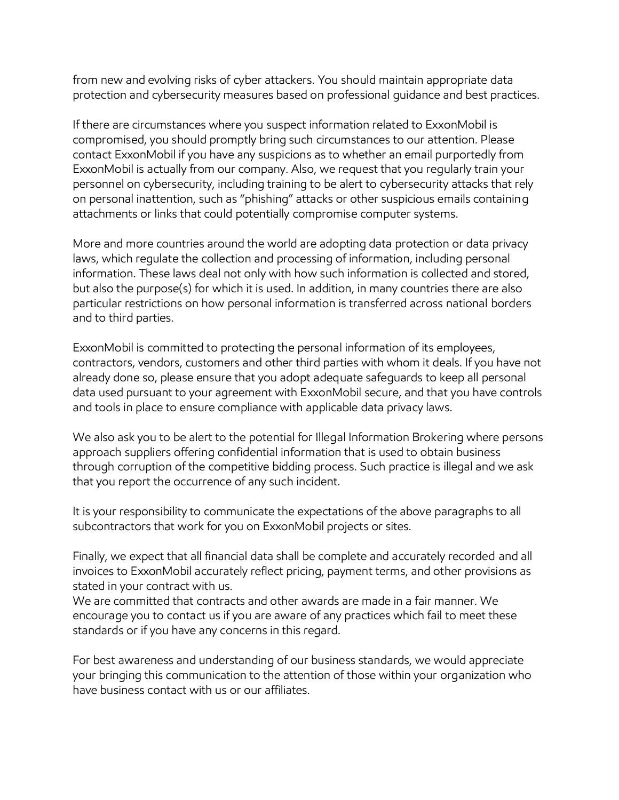from new and evolving risks of cyber attackers. You should maintain appropriate data protection and cybersecurity measures based on professional guidance and best practices.

If there are circumstances where you suspect information related to ExxonMobil is compromised, you should promptly bring such circumstances to our attention. Please contact ExxonMobil if you have any suspicions as to whether an email purportedly from ExxonMobil is actually from our company. Also, we request that you regularly train your personnel on cybersecurity, including training to be alert to cybersecurity attacks that rely on personal inattention, such as "phishing" attacks or other suspicious emails containing attachments or links that could potentially compromise computer systems.

More and more countries around the world are adopting data protection or data privacy laws, which regulate the collection and processing of information, including personal information. These laws deal not only with how such information is collected and stored, but also the purpose(s) for which it is used. In addition, in many countries there are also particular restrictions on how personal information is transferred across national borders and to third parties.

ExxonMobil is committed to protecting the personal information of its employees, contractors, vendors, customers and other third parties with whom it deals. If you have not already done so, please ensure that you adopt adequate safeguards to keep all personal data used pursuant to your agreement with ExxonMobil secure, and that you have controls and tools in place to ensure compliance with applicable data privacy laws.

We also ask you to be alert to the potential for Illegal Information Brokering where persons approach suppliers offering confidential information that is used to obtain business through corruption of the competitive bidding process. Such practice is illegal and we ask that you report the occurrence of any such incident.

It is your responsibility to communicate the expectations of the above paragraphs to all subcontractors that work for you on ExxonMobil projects or sites.

Finally, we expect that all financial data shall be complete and accurately recorded and all invoices to ExxonMobil accurately reflect pricing, payment terms, and other provisions as stated in your contract with us.

We are committed that contracts and other awards are made in a fair manner. We encourage you to contact us if you are aware of any practices which fail to meet these standards or if you have any concerns in this regard.

For best awareness and understanding of our business standards, we would appreciate your bringing this communication to the attention of those within your organization who have business contact with us or our affiliates.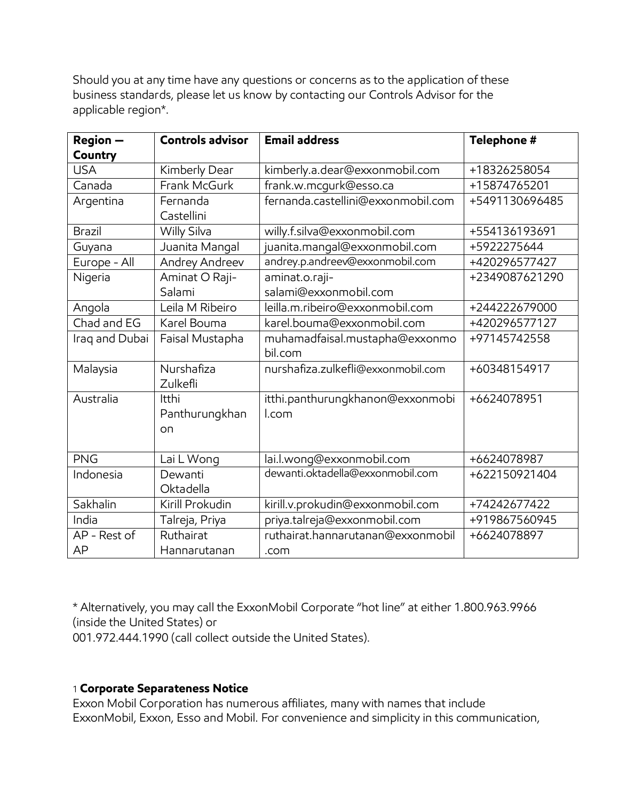Should you at any time have any questions or concerns as to the application of these business standards, please let us know by contacting our Controls Advisor for the applicable region\*.

| Region -       | <b>Controls advisor</b>       | <b>Email address</b>                      | Telephone #    |
|----------------|-------------------------------|-------------------------------------------|----------------|
| Country        |                               |                                           |                |
| <b>USA</b>     | Kimberly Dear                 | kimberly.a.dear@exxonmobil.com            | +18326258054   |
| Canada         | Frank McGurk                  | frank.w.mcgurk@esso.ca                    | +15874765201   |
| Argentina      | Fernanda<br>Castellini        | fernanda.castellini@exxonmobil.com        | +5491130696485 |
| Brazil         | Willy Silva                   | willy.f.silva@exxonmobil.com              | +554136193691  |
| Guyana         | Juanita Mangal                | juanita.mangal@exxonmobil.com             | +5922275644    |
| Europe - All   | Andrey Andreev                | andrey.p.andreev@exxonmobil.com           | +420296577427  |
| Nigeria        | Aminat O Raji-                | aminat.o.raji-                            | +2349087621290 |
|                | Salami                        | salami@exxonmobil.com                     |                |
| Angola         | Leila M Ribeiro               | leilla.m.ribeiro@exxonmobil.com           | +244222679000  |
| Chad and EG    | Karel Bouma                   | karel.bouma@exxonmobil.com                | +420296577127  |
| Iraq and Dubai | Faisal Mustapha               | muhamadfaisal.mustapha@exxonmo<br>bil.com | +97145742558   |
| Malaysia       | Nurshafiza<br>Zulkefli        | nurshafiza.zulkefli@exxonmobil.com        | +60348154917   |
| Australia      | Itthi<br>Panthurungkhan<br>on | itthi.panthurungkhanon@exxonmobi<br>l.com | +6624078951    |
| <b>PNG</b>     | Lai L Wong                    | lai.l.wong@exxonmobil.com                 | +6624078987    |
| Indonesia      | Dewanti<br>Oktadella          | dewanti.oktadella@exxonmobil.com          | +622150921404  |
| Sakhalin       | Kirill Prokudin               | kirill.v.prokudin@exxonmobil.com          | +74242677422   |
| India          | Talreja, Priya                | priya.talreja@exxonmobil.com              | +919867560945  |
| AP - Rest of   | Ruthairat                     | ruthairat.hannarutanan@exxonmobil         | +6624078897    |
| AP             | Hannarutanan                  | .com                                      |                |

\* Alternatively, you may call the ExxonMobil Corporate "hot line" at either 1.800.963.9966 (inside the United States) or

001.972.444.1990 (call collect outside the United States).

## 1 **Corporate Separateness Notice**

Exxon Mobil Corporation has numerous affiliates, many with names that include ExxonMobil, Exxon, Esso and Mobil. For convenience and simplicity in this communication,